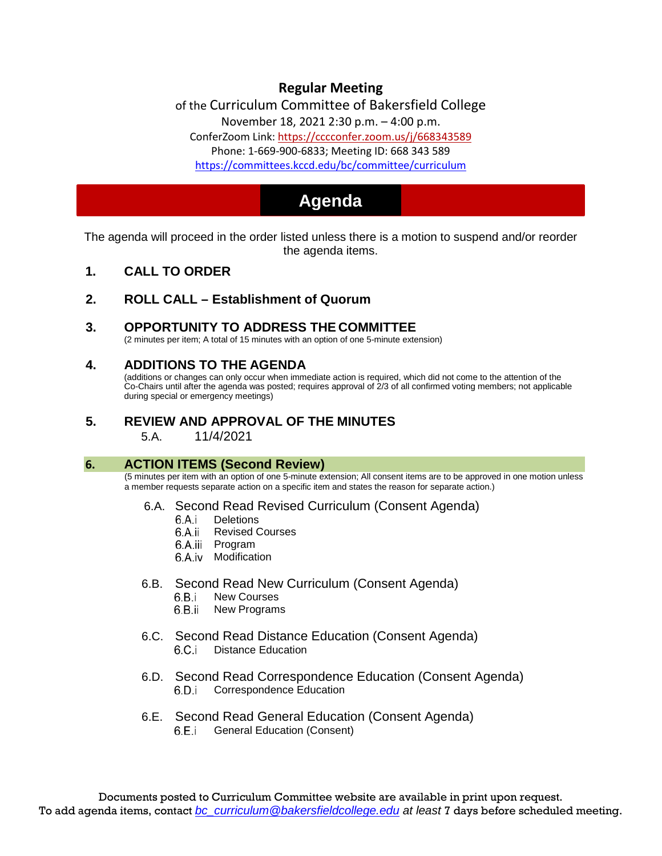# **Regular Meeting**

of the Curriculum Committee of Bakersfield College

November 18, 2021 [2:30 p.m. –](https://cccconfer.zoom.us/j/668343589) 4:00 p.m.

ConferZoom Link: https://cccconfer.zoom.us/j/668343589

[Phone: 1-669-900-6833; Meeting ID: 668 343 589](https://committees.kccd.edu/bc/committee/curriculum)

<https://committees.kccd.edu/bc/committee/curriculum>

# **Agenda**

The agenda will proceed in the order listed unless there is a motion to suspend and/or reorder the agenda items.

- **1. CALL TO ORDER**
- **2. ROLL CALL – Establishment of Quorum**
- **3. OPPORTUNITY TO ADDRESS THE COMMITTEE**

(2 minutes per item; A total of 15 minutes with an option of one 5-minute extension)

# **4. ADDITIONS TO THE AGENDA**

(additions or changes can only occur when immediate action is required, which did not come to the attention of the Co-Chairs until after the agenda was posted; requires approval of 2/3 of all confirmed voting members; not applicable during special or emergency meetings)

# **5. REVIEW AND APPROVAL OF THE MINUTES**

5.A. 11/4/2021

#### **6. ACTION ITEMS (Second Review)**

(5 minutes per item with an option of one 5-minute extension; All consent items are to be approved in one motion unless a member requests separate action on a specific item and states the reason for separate action.)

- 6.A. Second Read Revised Curriculum (Consent Agenda)
	- 6.A.i Deletions
	- 6.A.ii Revised Courses
	- 6.A.iii Program
	- 6.A.iv Modification
- 6.B. Second Read New Curriculum (Consent Agenda)<br>6 B i New Courses
	- New Courses
	- 6.B.ii New Programs
- 6.C. Second Read Distance Education (Consent Agenda) 6.C.i Distance Education
- 6.D. Second Read Correspondence Education (Consent Agenda) 6.D.i Correspondence Education
- 6.E. Second Read General Education (Consent Agenda) 6.E.i General Education (Consent)